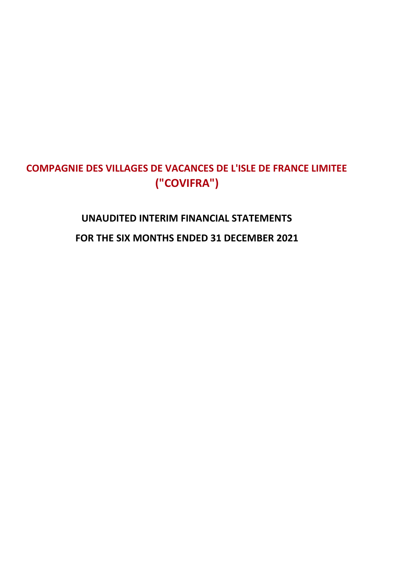# **UNAUDITED INTERIM FINANCIAL STATEMENTS FOR THE SIX MONTHS ENDED 31 DECEMBER 2021**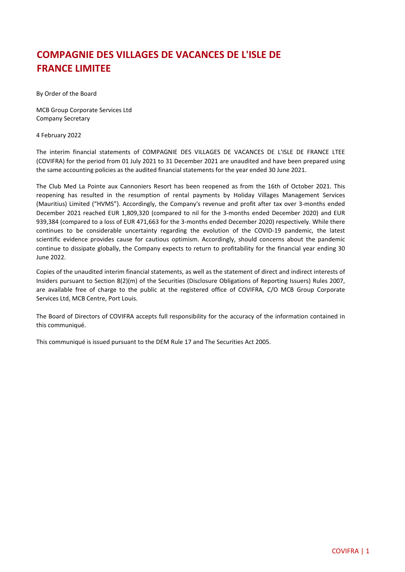By Order of the Board

MCB Group Corporate Services Ltd Company Secretary

4 February 2022

The interim financial statements of COMPAGNIE DES VILLAGES DE VACANCES DE L'ISLE DE FRANCE LTEE (COVIFRA) for the period from 01 July 2021 to 31 December 2021 are unaudited and have been prepared using the same accounting policies as the audited financial statements for the year ended 30 June 2021.

The Club Med La Pointe aux Cannoniers Resort has been reopened as from the 16th of October 2021. This reopening has resulted in the resumption of rental payments by Holiday Villages Management Services (Mauritius) Limited ("HVMS"). Accordingly, the Company's revenue and profit after tax over 3-months ended December 2021 reached EUR 1,809,320 (compared to nil for the 3-months ended December 2020) and EUR 939,384 (compared to a loss of EUR 471,663 for the 3-months ended December 2020) respectively. While there continues to be considerable uncertainty regarding the evolution of the COVID-19 pandemic, the latest scientific evidence provides cause for cautious optimism. Accordingly, should concerns about the pandemic continue to dissipate globally, the Company expects to return to profitability for the financial year ending 30 June 2022.

Copies of the unaudited interim financial statements, as well as the statement of direct and indirect interests of Insiders pursuant to Section 8(2)(m) of the Securities (Disclosure Obligations of Reporting Issuers) Rules 2007, are available free of charge to the public at the registered office of COVIFRA, C/O MCB Group Corporate Services Ltd, MCB Centre, Port Louis.

The Board of Directors of COVIFRA accepts full responsibility for the accuracy of the information contained in this communiqué.

This communiqué is issued pursuant to the DEM Rule 17 and The Securities Act 2005.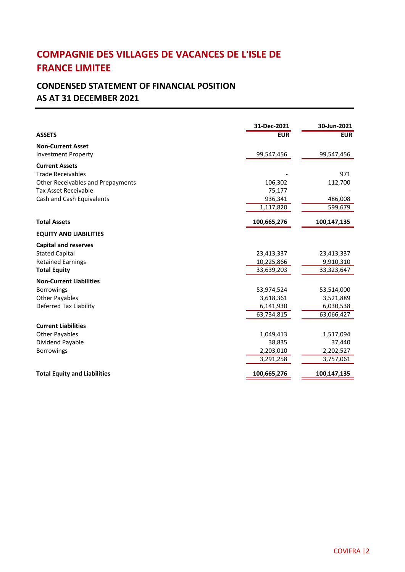# **CONDENSED STATEMENT OF FINANCIAL POSITION**

## **AS AT 31 DECEMBER 2021**

|                                          | 31-Dec-2021 | 30-Jun-2021 |
|------------------------------------------|-------------|-------------|
| <b>ASSETS</b>                            | <b>EUR</b>  | <b>EUR</b>  |
| <b>Non-Current Asset</b>                 |             |             |
| <b>Investment Property</b>               | 99,547,456  | 99,547,456  |
| <b>Current Assets</b>                    |             |             |
| <b>Trade Receivables</b>                 |             | 971         |
| <b>Other Receivables and Prepayments</b> | 106,302     | 112,700     |
| <b>Tax Asset Receivable</b>              | 75,177      |             |
| Cash and Cash Equivalents                | 936,341     | 486,008     |
|                                          | 1,117,820   | 599,679     |
| <b>Total Assets</b>                      | 100,665,276 | 100,147,135 |
| <b>EQUITY AND LIABILITIES</b>            |             |             |
| <b>Capital and reserves</b>              |             |             |
| <b>Stated Capital</b>                    | 23,413,337  | 23,413,337  |
| <b>Retained Earnings</b>                 | 10,225,866  | 9,910,310   |
| <b>Total Equity</b>                      | 33,639,203  | 33,323,647  |
| <b>Non-Current Liabilities</b>           |             |             |
| <b>Borrowings</b>                        | 53,974,524  | 53,514,000  |
| <b>Other Payables</b>                    | 3,618,361   | 3,521,889   |
| Deferred Tax Liability                   | 6,141,930   | 6,030,538   |
|                                          | 63,734,815  | 63,066,427  |
| <b>Current Liabilities</b>               |             |             |
| <b>Other Payables</b>                    | 1,049,413   | 1,517,094   |
| Dividend Payable                         | 38,835      | 37,440      |
| <b>Borrowings</b>                        | 2,203,010   | 2,202,527   |
|                                          | 3,291,258   | 3,757,061   |
| <b>Total Equity and Liabilities</b>      | 100,665,276 | 100,147,135 |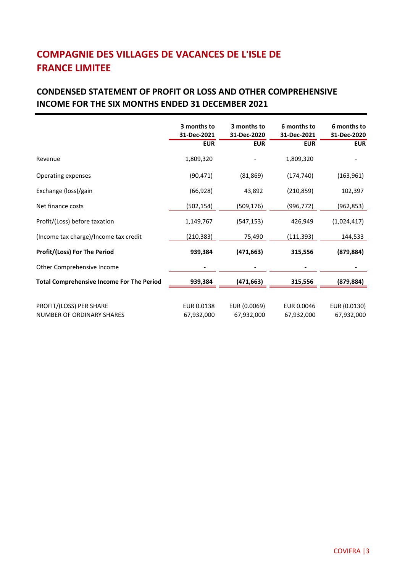#### **CONDENSED STATEMENT OF PROFIT OR LOSS AND OTHER COMPREHENSIVE INCOME FOR THE SIX MONTHS ENDED 31 DECEMBER 2021**

|                                                  | 3 months to<br>31-Dec-2021 | 3 months to<br>31-Dec-2020 | 6 months to<br>31-Dec-2021 | 6 months to<br>31-Dec-2020 |
|--------------------------------------------------|----------------------------|----------------------------|----------------------------|----------------------------|
|                                                  | <b>EUR</b>                 | <b>EUR</b>                 | <b>EUR</b>                 | <b>EUR</b>                 |
| Revenue                                          | 1,809,320                  |                            | 1,809,320                  |                            |
| Operating expenses                               | (90, 471)                  | (81, 869)                  | (174, 740)                 | (163, 961)                 |
| Exchange (loss)/gain                             | (66, 928)                  | 43,892                     | (210, 859)                 | 102,397                    |
| Net finance costs                                | (502,154)                  | (509,176)                  | (996,772)                  | (962,853)                  |
| Profit/(Loss) before taxation                    | 1,149,767                  | (547, 153)                 | 426,949                    | (1,024,417)                |
| (Income tax charge)/Income tax credit            | (210, 383)                 | 75,490                     | (111,393)                  | 144,533                    |
| <b>Profit/(Loss) For The Period</b>              | 939,384                    | (471, 663)                 | 315,556                    | (879, 884)                 |
| Other Comprehensive Income                       |                            |                            |                            |                            |
| <b>Total Comprehensive Income For The Period</b> | 939,384                    | (471, 663)                 | 315,556                    | (879, 884)                 |
|                                                  |                            |                            |                            |                            |
| PROFIT/(LOSS) PER SHARE                          | EUR 0.0138                 | EUR (0.0069)               | EUR 0.0046                 | EUR (0.0130)               |
| <b>NUMBER OF ORDINARY SHARES</b>                 | 67,932,000                 | 67,932,000                 | 67,932,000                 | 67,932,000                 |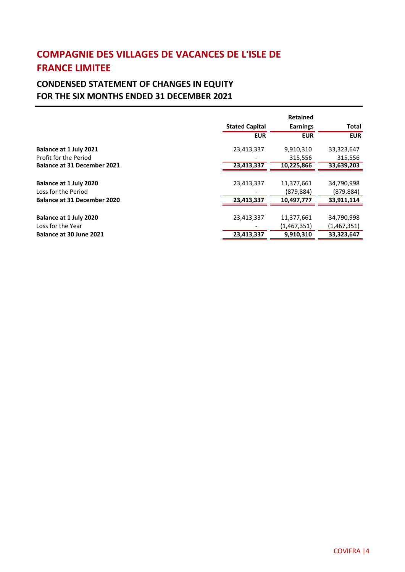#### **CONDENSED STATEMENT OF CHANGES IN EQUITY FOR THE SIX MONTHS ENDED 31 DECEMBER 2021**

|                                    |                       | <b>Retained</b> |              |
|------------------------------------|-----------------------|-----------------|--------------|
|                                    | <b>Stated Capital</b> | <b>Earnings</b> | <b>Total</b> |
|                                    | <b>EUR</b>            | <b>EUR</b>      | <b>EUR</b>   |
| Balance at 1 July 2021             | 23,413,337            | 9,910,310       | 33,323,647   |
| Profit for the Period              |                       | 315,556         | 315,556      |
| <b>Balance at 31 December 2021</b> | 23,413,337            | 10,225,866      | 33,639,203   |
|                                    |                       |                 |              |
| Balance at 1 July 2020             | 23,413,337            | 11,377,661      | 34,790,998   |
| Loss for the Period                |                       | (879, 884)      | (879, 884)   |
| <b>Balance at 31 December 2020</b> | 23,413,337            | 10,497,777      | 33.911.114   |
|                                    |                       |                 |              |
| Balance at 1 July 2020             | 23,413,337            | 11,377,661      | 34,790,998   |
| Loss for the Year                  |                       | (1,467,351)     | (1,467,351)  |
| Balance at 30 June 2021            | 23,413,337            | 9,910,310       | 33,323,647   |